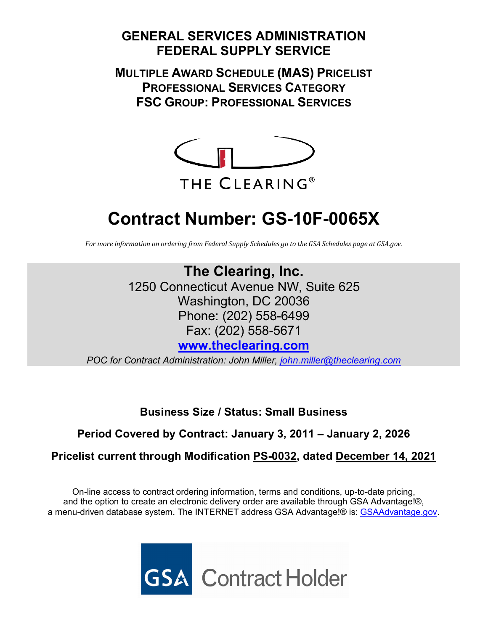# **GENERAL SERVICES ADMINISTRATION FEDERAL SUPPLY SERVICE**

**MULTIPLE AWARD SCHEDULE (MAS) PRICELIST PROFESSIONAL SERVICES CATEGORY FSC GROUP: PROFESSIONAL SERVICES**



# **Contract Number: GS-10F-0065X**

*For more information on ordering from Federal Supply Schedules go to the GSA Schedules page at GSA.gov.*

**The Clearing, Inc.** 1250 Connecticut Avenue NW, Suite 625 Washington, DC 20036 Phone: (202) 558-6499 Fax: (202) 558-5671 **[www.theclearing.com](http://www.theclearing.com/)**

*POC for Contract Administration: John Miller, [john.miller@theclearing.com](mailto:john.miller@theclearing.com)*

**Business Size / Status: Small Business**

**Period Covered by Contract: January 3, 2011 – January 2, 2026**

**Pricelist current through Modification PS-0032, dated December 14, 2021**

On-line access to contract ordering information, terms and conditions, up-to-date pricing, and the option to create an electronic delivery order are available through GSA Advantage!®, a menu-driven database system. The INTERNET address GSA Advantage!® is: [GSAAdvantage.gov.](https://www.gsaadvantage.gov/advantage/ws/main/start_page)

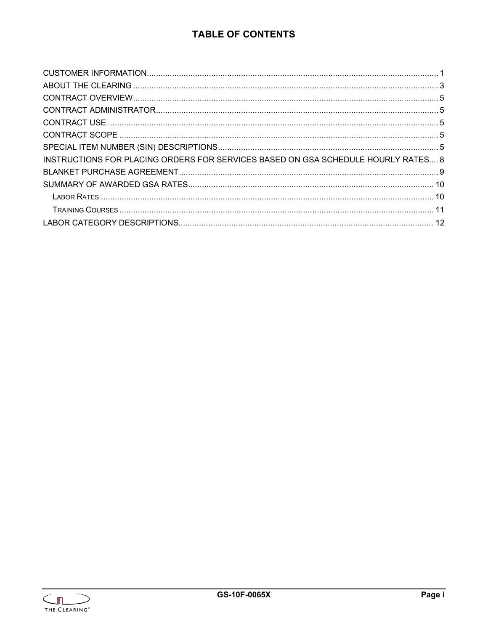# **TABLE OF CONTENTS**

| INSTRUCTIONS FOR PLACING ORDERS FOR SERVICES BASED ON GSA SCHEDULE HOURLY RATES 8 |  |
|-----------------------------------------------------------------------------------|--|
|                                                                                   |  |
|                                                                                   |  |
|                                                                                   |  |
|                                                                                   |  |
|                                                                                   |  |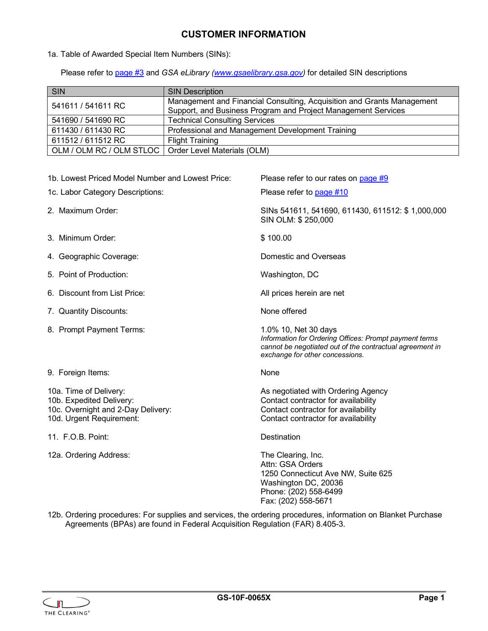## **CUSTOMER INFORMATION**

<span id="page-2-0"></span>1a. Table of Awarded Special Item Numbers (SINs):

Please refer to [page #3](#page-6-4) and *GSA eLibrary [\(www.gsaelibrary.gsa.gov\)](http://www.gsaelibrary.gsa.gov/)* for detailed SIN descriptions

| SIN                                                    | <b>SIN Description</b>                                                 |
|--------------------------------------------------------|------------------------------------------------------------------------|
| 541611 / 541611 RC                                     | Management and Financial Consulting, Acquisition and Grants Management |
|                                                        | Support, and Business Program and Project Management Services          |
| 541690 / 541690 RC                                     | <b>Technical Consulting Services</b>                                   |
| 611430 / 611430 RC                                     | Professional and Management Development Training                       |
| 611512 / 611512 RC                                     | <b>Flight Training</b>                                                 |
| OLM / OLM RC / OLM STLOC   Order Level Materials (OLM) |                                                                        |

| 1b. Lowest Priced Model Number and Lowest Price:                                                                     | Please refer to our rates on page #9                                                                                                                                          |
|----------------------------------------------------------------------------------------------------------------------|-------------------------------------------------------------------------------------------------------------------------------------------------------------------------------|
| 1c. Labor Category Descriptions:                                                                                     | Please refer to page #10                                                                                                                                                      |
| 2. Maximum Order:                                                                                                    | SINs 541611, 541690, 611430, 611512: \$1,000,000<br>SIN OLM: \$250,000                                                                                                        |
| 3. Minimum Order:                                                                                                    | \$100.00                                                                                                                                                                      |
| 4. Geographic Coverage:                                                                                              | Domestic and Overseas                                                                                                                                                         |
| 5. Point of Production:                                                                                              | Washington, DC                                                                                                                                                                |
| 6. Discount from List Price:                                                                                         | All prices herein are net                                                                                                                                                     |
| 7. Quantity Discounts:                                                                                               | None offered                                                                                                                                                                  |
| 8. Prompt Payment Terms:                                                                                             | 1.0% 10, Net 30 days<br>Information for Ordering Offices: Prompt payment terms<br>cannot be negotiated out of the contractual agreement in<br>exchange for other concessions. |
| 9. Foreign Items:                                                                                                    | None                                                                                                                                                                          |
| 10a. Time of Delivery:<br>10b. Expedited Delivery:<br>10c. Overnight and 2-Day Delivery:<br>10d. Urgent Requirement: | As negotiated with Ordering Agency<br>Contact contractor for availability<br>Contact contractor for availability<br>Contact contractor for availability                       |
| 11. F.O.B. Point:                                                                                                    | <b>Destination</b>                                                                                                                                                            |
| 12a. Ordering Address:                                                                                               | The Clearing, Inc.<br>Attn: GSA Orders<br>1250 Connecticut Ave NW, Suite 625<br>Washington DC, 20036<br>Phone: (202) 558-6499<br>Fax: (202) 558-5671                          |

12b. Ordering procedures: For supplies and services, the ordering procedures, information on Blanket Purchase Agreements (BPAs) are found in Federal Acquisition Regulation (FAR) 8.405-3.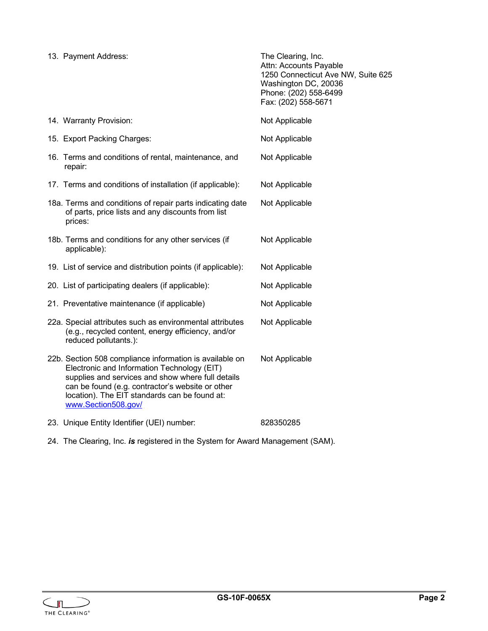| 13. Payment Address:                                                                                                                                                                                                                                                                    | The Clearing, Inc.<br>Attn: Accounts Payable<br>1250 Connecticut Ave NW, Suite 625<br>Washington DC, 20036<br>Phone: (202) 558-6499<br>Fax: (202) 558-5671 |
|-----------------------------------------------------------------------------------------------------------------------------------------------------------------------------------------------------------------------------------------------------------------------------------------|------------------------------------------------------------------------------------------------------------------------------------------------------------|
| 14. Warranty Provision:                                                                                                                                                                                                                                                                 | Not Applicable                                                                                                                                             |
| 15. Export Packing Charges:                                                                                                                                                                                                                                                             | Not Applicable                                                                                                                                             |
| 16. Terms and conditions of rental, maintenance, and<br>repair:                                                                                                                                                                                                                         | Not Applicable                                                                                                                                             |
| 17. Terms and conditions of installation (if applicable):                                                                                                                                                                                                                               | Not Applicable                                                                                                                                             |
| 18a. Terms and conditions of repair parts indicating date<br>of parts, price lists and any discounts from list<br>prices:                                                                                                                                                               | Not Applicable                                                                                                                                             |
| 18b. Terms and conditions for any other services (if<br>applicable):                                                                                                                                                                                                                    | Not Applicable                                                                                                                                             |
| 19. List of service and distribution points (if applicable):                                                                                                                                                                                                                            | Not Applicable                                                                                                                                             |
| 20. List of participating dealers (if applicable):                                                                                                                                                                                                                                      | Not Applicable                                                                                                                                             |
| 21. Preventative maintenance (if applicable)                                                                                                                                                                                                                                            | Not Applicable                                                                                                                                             |
| 22a. Special attributes such as environmental attributes<br>(e.g., recycled content, energy efficiency, and/or<br>reduced pollutants.):                                                                                                                                                 | Not Applicable                                                                                                                                             |
| 22b. Section 508 compliance information is available on<br>Electronic and Information Technology (EIT)<br>supplies and services and show where full details<br>can be found (e.g. contractor's website or other<br>location). The EIT standards can be found at:<br>www.Section508.gov/ | Not Applicable                                                                                                                                             |
| 23. Unique Entity Identifier (UEI) number:                                                                                                                                                                                                                                              | 828350285                                                                                                                                                  |

24. The Clearing, Inc. *is* registered in the System for Award Management (SAM).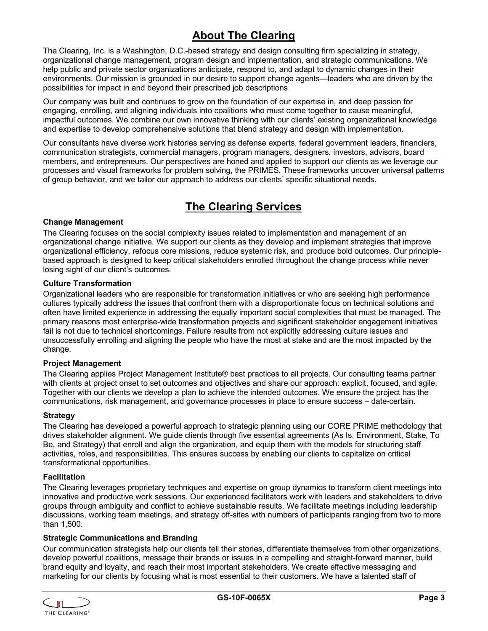# **About The Clearing**

<span id="page-4-0"></span>The Clearing, Inc. is a Washington, D.C.-based strategy and design consulting firm specializing in strategy, organizational change management, program design and implementation, and strategic communications. We help public and private sector organizations anticipate, respond to, and adapt to dynamic changes in their environments. Our mission is grounded in our desire to support change agents—leaders who are driven by the possibilities for impact in and beyond their prescribed job descriptions.

Our company was built and continues to grow on the foundation of our expertise in, and deep passion for engaging, enrolling, and aligning individuals into coalitions who must come together to cause meaningful, impactful outcomes. We combine our own innovative thinking with our clients' existing organizational knowledge and expertise to develop comprehensive solutions that blend strategy and design with implementation.

Our consultants have diverse work histories serving as defense experts, federal government leaders, financiers, communication strategists, commercial managers, program managers, designers, investors, advisors, board members, and entrepreneurs. Our perspectives are honed and applied to support our clients as we leverage our processes and visual frameworks for problem solving, the PRIMES. These frameworks uncover universal patterns of group behavior, and we tailor our approach to address our clients' specific situational needs.

# **The Clearing Services**

#### **Change Management**

The Clearing focuses on the social complexity issues related to implementation and management of an organizational change initiative. We support our clients as they develop and implement strategies that improve organizational efficiency, refocus core missions, reduce systemic risk, and produce bold outcomes. Our principlebased approach is designed to keep critical stakeholders enrolled throughout the change process while never losing sight of our client's outcomes.

#### **Culture Transformation**

Organizational leaders who are responsible for transformation initiatives or who are seeking high performance cultures typically address the issues that confront them with a disproportionate focus on technical solutions and often have limited experience in addressing the equally important social complexities that must be managed. The primary reasons most enterprise-wide transformation projects and significant stakeholder engagement initiatives fail is not due to technical shortcomings. Failure results from not explicitly addressing culture issues and unsuccessfully enrolling and aligning the people who have the most at stake and are the most impacted by the change.

#### **Project Management**

The Clearing applies Project Management Institute® best practices to all projects. Our consulting teams partner with clients at project onset to set outcomes and objectives and share our approach: explicit, focused, and agile. Together with our clients we develop a plan to achieve the intended outcomes. We ensure the project has the communications, risk management, and governance processes in place to ensure success – date-certain.

#### **Strategy**

The Clearing has developed a powerful approach to strategic planning using our CORE PRIME methodology that drives stakeholder alignment. We guide clients through five essential agreements (As Is, Environment, Stake, To Be, and Strategy) that enroll and align the organization, and equip them with the models for structuring staff activities, roles, and responsibilities. This ensures success by enabling our clients to capitalize on critical transformational opportunities.

#### **Facilitation**

The Clearing leverages proprietary techniques and expertise on group dynamics to transform client meetings into innovative and productive work sessions. Our experienced facilitators work with leaders and stakeholders to drive groups through ambiguity and conflict to achieve sustainable results. We facilitate meetings including leadership discussions, working team meetings, and strategy off-sites with numbers of participants ranging from two to more than 1,500.

#### **Strategic Communications and Branding**

Our communication strategists help our clients tell their stories, differentiate themselves from other organizations, develop powerful coalitions, message their brands or issues in a compelling and straight-forward manner, build brand equity and loyalty, and reach their most important stakeholders. We create effective messaging and marketing for our clients by focusing what is most essential to their customers. We have a talented staff of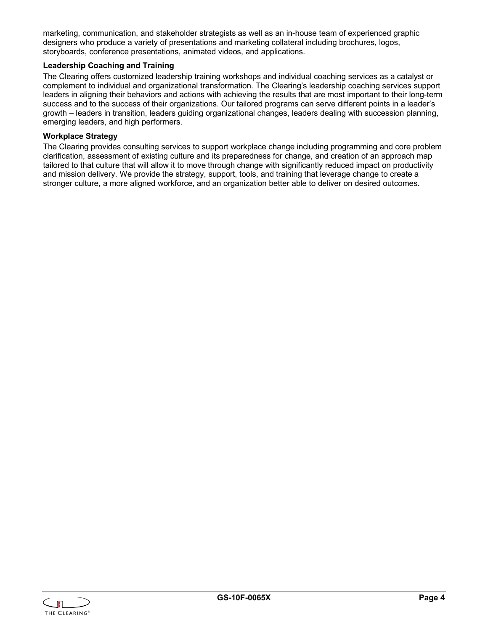marketing, communication, and stakeholder strategists as well as an in-house team of experienced graphic designers who produce a variety of presentations and marketing collateral including brochures, logos, storyboards, conference presentations, animated videos, and applications.

#### **Leadership Coaching and Training**

The Clearing offers customized leadership training workshops and individual coaching services as a catalyst or complement to individual and organizational transformation. The Clearing's leadership coaching services support leaders in aligning their behaviors and actions with achieving the results that are most important to their long-term success and to the success of their organizations. Our tailored programs can serve different points in a leader's growth – leaders in transition, leaders guiding organizational changes, leaders dealing with succession planning, emerging leaders, and high performers.

#### **Workplace Strategy**

The Clearing provides consulting services to support workplace change including programming and core problem clarification, assessment of existing culture and its preparedness for change, and creation of an approach map tailored to that culture that will allow it to move through change with significantly reduced impact on productivity and mission delivery. We provide the strategy, support, tools, and training that leverage change to create a stronger culture, a more aligned workforce, and an organization better able to deliver on desired outcomes.

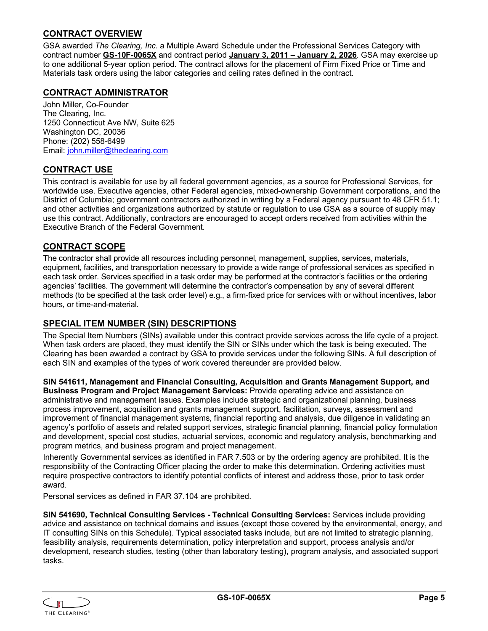#### <span id="page-6-0"></span>**CONTRACT OVERVIEW**

GSA awarded *The Clearing, Inc.* a Multiple Award Schedule under the Professional Services Category with contract number **GS-10F-0065X** and contract period **January 3, 2011 – January 2, 2026**. GSA may exercise up to one additional 5-year option period. The contract allows for the placement of Firm Fixed Price or Time and Materials task orders using the labor categories and ceiling rates defined in the contract.

#### <span id="page-6-1"></span>**CONTRACT ADMINISTRATOR**

John Miller, Co-Founder The Clearing, Inc. 1250 Connecticut Ave NW, Suite 625 Washington DC, 20036 Phone: (202) 558-6499 Email: [john.miller@theclearing.com](mailto:john.miller@theclearing.com)

#### <span id="page-6-2"></span>**CONTRACT USE**

This contract is available for use by all federal government agencies, as a source for Professional Services, for worldwide use. Executive agencies, other Federal agencies, mixed-ownership Government corporations, and the District of Columbia; government contractors authorized in writing by a Federal agency pursuant to 48 CFR 51.1; and other activities and organizations authorized by statute or regulation to use GSA as a source of supply may use this contract. Additionally, contractors are encouraged to accept orders received from activities within the Executive Branch of the Federal Government.

#### <span id="page-6-3"></span>**CONTRACT SCOPE**

The contractor shall provide all resources including personnel, management, supplies, services, materials, equipment, facilities, and transportation necessary to provide a wide range of professional services as specified in each task order. Services specified in a task order may be performed at the contractor's facilities or the ordering agencies' facilities. The government will determine the contractor's compensation by any of several different methods (to be specified at the task order level) e.g., a firm-fixed price for services with or without incentives, labor hours, or time-and-material.

#### <span id="page-6-4"></span>**SPECIAL ITEM NUMBER (SIN) DESCRIPTIONS**

The Special Item Numbers (SINs) available under this contract provide services across the life cycle of a project. When task orders are placed, they must identify the SIN or SINs under which the task is being executed. The Clearing has been awarded a contract by GSA to provide services under the following SINs. A full description of each SIN and examples of the types of work covered thereunder are provided below.

**SIN 541611, Management and Financial Consulting, Acquisition and Grants Management Support, and Business Program and Project Management Services:** Provide operating advice and assistance on administrative and management issues. Examples include strategic and organizational planning, business process improvement, acquisition and grants management support, facilitation, surveys, assessment and improvement of financial management systems, financial reporting and analysis, due diligence in validating an agency's portfolio of assets and related support services, strategic financial planning, financial policy formulation and development, special cost studies, actuarial services, economic and regulatory analysis, benchmarking and program metrics, and business program and project management.

Inherently Governmental services as identified in FAR 7.503 or by the ordering agency are prohibited. It is the responsibility of the Contracting Officer placing the order to make this determination. Ordering activities must require prospective contractors to identify potential conflicts of interest and address those, prior to task order award.

Personal services as defined in FAR 37.104 are prohibited.

**SIN 541690, Technical Consulting Services - Technical Consulting Services:** Services include providing advice and assistance on technical domains and issues (except those covered by the environmental, energy, and IT consulting SINs on this Schedule). Typical associated tasks include, but are not limited to strategic planning, feasibility analysis, requirements determination, policy interpretation and support, process analysis and/or development, research studies, testing (other than laboratory testing), program analysis, and associated support tasks.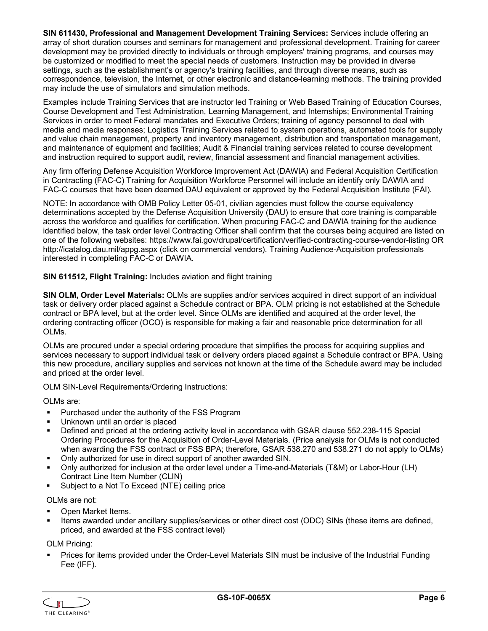**SIN 611430, Professional and Management Development Training Services:** Services include offering an array of short duration courses and seminars for management and professional development. Training for career development may be provided directly to individuals or through employers' training programs, and courses may be customized or modified to meet the special needs of customers. Instruction may be provided in diverse settings, such as the establishment's or agency's training facilities, and through diverse means, such as correspondence, television, the Internet, or other electronic and distance-learning methods. The training provided may include the use of simulators and simulation methods.

Examples include Training Services that are instructor led Training or Web Based Training of Education Courses, Course Development and Test Administration, Learning Management, and Internships; Environmental Training Services in order to meet Federal mandates and Executive Orders; training of agency personnel to deal with media and media responses; Logistics Training Services related to system operations, automated tools for supply and value chain management, property and inventory management, distribution and transportation management, and maintenance of equipment and facilities; Audit & Financial training services related to course development and instruction required to support audit, review, financial assessment and financial management activities.

Any firm offering Defense Acquisition Workforce Improvement Act (DAWIA) and Federal Acquisition Certification in Contracting (FAC-C) Training for Acquisition Workforce Personnel will include an identify only DAWIA and FAC-C courses that have been deemed DAU equivalent or approved by the Federal Acquisition Institute (FAI).

NOTE: In accordance with OMB Policy Letter 05-01, civilian agencies must follow the course equivalency determinations accepted by the Defense Acquisition University (DAU) to ensure that core training is comparable across the workforce and qualifies for certification. When procuring FAC-C and DAWIA training for the audience identified below, the task order level Contracting Officer shall confirm that the courses being acquired are listed on one of the following websites: https://www.fai.gov/drupal/certification/verified-contracting-course-vendor-listing OR http://icatalog.dau.mil/appg.aspx (click on commercial vendors). Training Audience-Acquisition professionals interested in completing FAC-C or DAWIA.

**SIN 611512, Flight Training:** Includes aviation and flight training

**SIN OLM, Order Level Materials:** OLMs are supplies and/or services acquired in direct support of an individual task or delivery order placed against a Schedule contract or BPA. OLM pricing is not established at the Schedule contract or BPA level, but at the order level. Since OLMs are identified and acquired at the order level, the ordering contracting officer (OCO) is responsible for making a fair and reasonable price determination for all OLMs.

OLMs are procured under a special ordering procedure that simplifies the process for acquiring supplies and services necessary to support individual task or delivery orders placed against a Schedule contract or BPA. Using this new procedure, ancillary supplies and services not known at the time of the Schedule award may be included and priced at the order level.

OLM SIN-Level Requirements/Ordering Instructions:

OLMs are:

- **Purchased under the authority of the FSS Program**
- Unknown until an order is placed
- Defined and priced at the ordering activity level in accordance with GSAR clause 552.238-115 Special Ordering Procedures for the Acquisition of Order-Level Materials. (Price analysis for OLMs is not conducted when awarding the FSS contract or FSS BPA; therefore, GSAR 538.270 and 538.271 do not apply to OLMs)
- Only authorized for use in direct support of another awarded SIN.
- Only authorized for inclusion at the order level under a Time-and-Materials (T&M) or Labor-Hour (LH) Contract Line Item Number (CLIN)
- **Subject to a Not To Exceed (NTE) ceiling price**

OLMs are not:

- Open Market Items.
- Items awarded under ancillary supplies/services or other direct cost (ODC) SINs (these items are defined, priced, and awarded at the FSS contract level)

OLM Pricing:

 Prices for items provided under the Order-Level Materials SIN must be inclusive of the Industrial Funding Fee (IFF).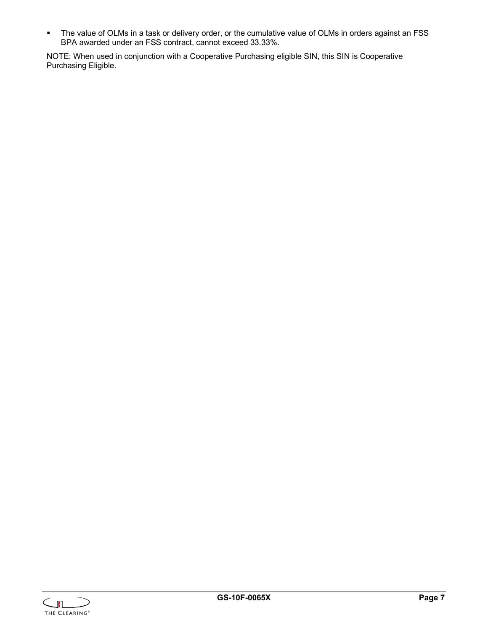The value of OLMs in a task or delivery order, or the cumulative value of OLMs in orders against an FSS BPA awarded under an FSS contract, cannot exceed 33.33%.

NOTE: When used in conjunction with a Cooperative Purchasing eligible SIN, this SIN is Cooperative Purchasing Eligible.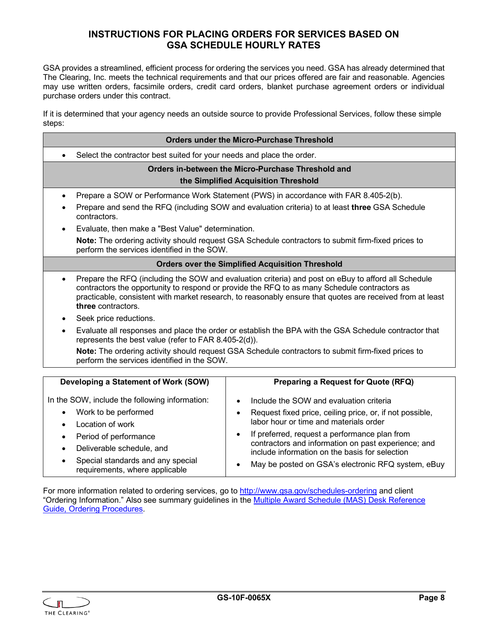## **INSTRUCTIONS FOR PLACING ORDERS FOR SERVICES BASED ON GSA SCHEDULE HOURLY RATES**

<span id="page-9-0"></span>GSA provides a streamlined, efficient process for ordering the services you need. GSA has already determined that The Clearing, Inc. meets the technical requirements and that our prices offered are fair and reasonable. Agencies may use written orders, facsimile orders, credit card orders, blanket purchase agreement orders or individual purchase orders under this contract.

If it is determined that your agency needs an outside source to provide Professional Services, follow these simple steps:

| <b>Orders under the Micro-Purchase Threshold</b>                                                                                                                                                                                                                                                                                                    |                                                                                                       |  |  |
|-----------------------------------------------------------------------------------------------------------------------------------------------------------------------------------------------------------------------------------------------------------------------------------------------------------------------------------------------------|-------------------------------------------------------------------------------------------------------|--|--|
| Select the contractor best suited for your needs and place the order.                                                                                                                                                                                                                                                                               |                                                                                                       |  |  |
|                                                                                                                                                                                                                                                                                                                                                     | Orders in-between the Micro-Purchase Threshold and                                                    |  |  |
|                                                                                                                                                                                                                                                                                                                                                     | the Simplified Acquisition Threshold                                                                  |  |  |
| $\bullet$                                                                                                                                                                                                                                                                                                                                           | Prepare a SOW or Performance Work Statement (PWS) in accordance with FAR 8.405-2(b).                  |  |  |
| contractors.                                                                                                                                                                                                                                                                                                                                        | Prepare and send the RFQ (including SOW and evaluation criteria) to at least three GSA Schedule       |  |  |
| Evaluate, then make a "Best Value" determination.<br>$\bullet$                                                                                                                                                                                                                                                                                      |                                                                                                       |  |  |
| Note: The ordering activity should request GSA Schedule contractors to submit firm-fixed prices to<br>perform the services identified in the SOW.                                                                                                                                                                                                   |                                                                                                       |  |  |
|                                                                                                                                                                                                                                                                                                                                                     | <b>Orders over the Simplified Acquisition Threshold</b>                                               |  |  |
| Prepare the RFQ (including the SOW and evaluation criteria) and post on eBuy to afford all Schedule<br>$\bullet$<br>contractors the opportunity to respond or provide the RFQ to as many Schedule contractors as<br>practicable, consistent with market research, to reasonably ensure that quotes are received from at least<br>three contractors. |                                                                                                       |  |  |
| Seek price reductions.<br>٠                                                                                                                                                                                                                                                                                                                         |                                                                                                       |  |  |
| Evaluate all responses and place the order or establish the BPA with the GSA Schedule contractor that<br>$\bullet$<br>represents the best value (refer to FAR 8.405-2(d)).                                                                                                                                                                          |                                                                                                       |  |  |
| perform the services identified in the SOW.                                                                                                                                                                                                                                                                                                         | Note: The ordering activity should request GSA Schedule contractors to submit firm-fixed prices to    |  |  |
|                                                                                                                                                                                                                                                                                                                                                     |                                                                                                       |  |  |
| Developing a Statement of Work (SOW)                                                                                                                                                                                                                                                                                                                | Preparing a Request for Quote (RFQ)                                                                   |  |  |
| In the SOW, include the following information:                                                                                                                                                                                                                                                                                                      | Include the SOW and evaluation criteria<br>$\bullet$                                                  |  |  |
| Work to be performed<br>$\bullet$                                                                                                                                                                                                                                                                                                                   | Request fixed price, ceiling price, or, if not possible,<br>$\bullet$                                 |  |  |
| Location of work<br>$\bullet$                                                                                                                                                                                                                                                                                                                       | labor hour or time and materials order                                                                |  |  |
| Period of performance<br>$\bullet$                                                                                                                                                                                                                                                                                                                  | If preferred, request a performance plan from<br>٠                                                    |  |  |
| Deliverable schedule, and                                                                                                                                                                                                                                                                                                                           | contractors and information on past experience; and<br>include information on the basis for selection |  |  |
| Special standards and any special<br>requirements, where applicable                                                                                                                                                                                                                                                                                 | May be posted on GSA's electronic RFQ system, eBuy<br>٠                                               |  |  |

For more information related to ordering services, go to<http://www.gsa.gov/schedules-ordering> and client "Ordering Information." Also see summary guidelines in the [Multiple Award Schedule \(MAS\) Desk Reference](http://www.gsa.gov/portal/content/226369)  [Guide, Ordering Procedures.](http://www.gsa.gov/portal/content/226369)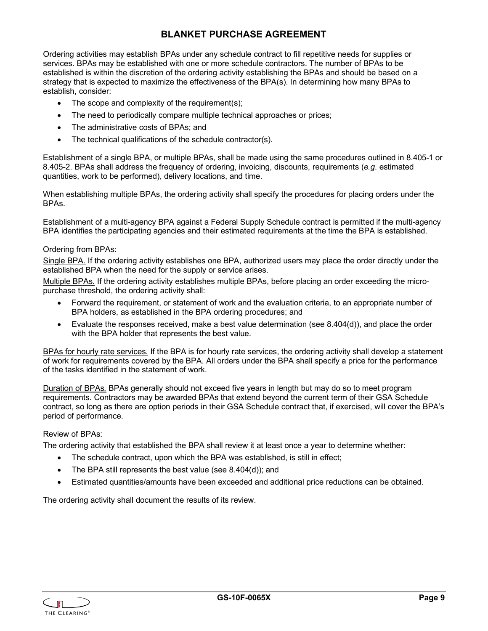# **BLANKET PURCHASE AGREEMENT**

<span id="page-10-0"></span>Ordering activities may establish BPAs under any schedule contract to fill repetitive needs for supplies or services. BPAs may be established with one or more schedule contractors. The number of BPAs to be established is within the discretion of the ordering activity establishing the BPAs and should be based on a strategy that is expected to maximize the effectiveness of the BPA(s). In determining how many BPAs to establish, consider:

- The scope and complexity of the requirement(s);
- The need to periodically compare multiple technical approaches or prices;
- The administrative costs of BPAs; and
- The technical qualifications of the schedule contractor(s).

Establishment of a single BPA, or multiple BPAs, shall be made using the same procedures outlined in 8.405-1 or 8.405-2. BPAs shall address the frequency of ordering, invoicing, discounts, requirements (*e.g*. estimated quantities, work to be performed), delivery locations, and time.

When establishing multiple BPAs, the ordering activity shall specify the procedures for placing orders under the BPAs.

Establishment of a multi-agency BPA against a Federal Supply Schedule contract is permitted if the multi-agency BPA identifies the participating agencies and their estimated requirements at the time the BPA is established.

#### Ordering from BPAs:

Single BPA*.* If the ordering activity establishes one BPA, authorized users may place the order directly under the established BPA when the need for the supply or service arises.

Multiple BPAs*.* If the ordering activity establishes multiple BPAs, before placing an order exceeding the micropurchase threshold, the ordering activity shall:

- Forward the requirement, or statement of work and the evaluation criteria, to an appropriate number of BPA holders, as established in the BPA ordering procedures; and
- Evaluate the responses received, make a best value determination (see 8.404(d)), and place the order with the BPA holder that represents the best value.

BPAs for hourly rate services*.* If the BPA is for hourly rate services, the ordering activity shall develop a statement of work for requirements covered by the BPA. All orders under the BPA shall specify a price for the performance of the tasks identified in the statement of work.

Duration of BPAs*.* BPAs generally should not exceed five years in length but may do so to meet program requirements. Contractors may be awarded BPAs that extend beyond the current term of their GSA Schedule contract, so long as there are option periods in their GSA Schedule contract that, if exercised, will cover the BPA's period of performance.

#### Review of BPAs:

The ordering activity that established the BPA shall review it at least once a year to determine whether:

- The schedule contract, upon which the BPA was established, is still in effect;
- The BPA still represents the best value (see 8.404(d)); and
- Estimated quantities/amounts have been exceeded and additional price reductions can be obtained.

The ordering activity shall document the results of its review.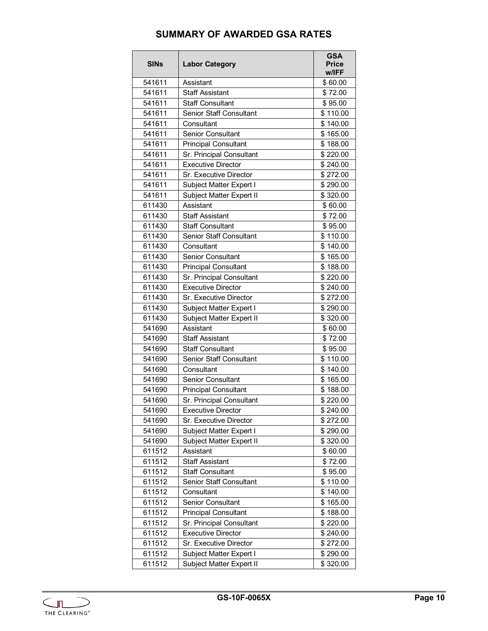# **SUMMARY OF AWARDED GSA RATES**

<span id="page-11-0"></span>

| <b>SINs</b> | <b>Labor Category</b>          | <b>GSA</b><br><b>Price</b><br>w/IFF |
|-------------|--------------------------------|-------------------------------------|
| 541611      | Assistant                      | \$60.00                             |
| 541611      | <b>Staff Assistant</b>         | \$72.00                             |
| 541611      | <b>Staff Consultant</b>        | \$95.00                             |
| 541611      | Senior Staff Consultant        | \$110.00                            |
| 541611      | Consultant                     | \$140.00                            |
| 541611      | <b>Senior Consultant</b>       | \$165.00                            |
| 541611      | <b>Principal Consultant</b>    | \$188.00                            |
| 541611      | Sr. Principal Consultant       | \$220.00                            |
| 541611      | <b>Executive Director</b>      | \$240.00                            |
| 541611      | Sr. Executive Director         | \$272.00                            |
| 541611      | Subject Matter Expert I        | \$290.00                            |
| 541611      | Subject Matter Expert II       | \$320.00                            |
| 611430      | Assistant                      | \$60.00                             |
| 611430      | <b>Staff Assistant</b>         | \$72.00                             |
| 611430      | <b>Staff Consultant</b>        | \$95.00                             |
| 611430      | Senior Staff Consultant        | \$110.00                            |
| 611430      | Consultant                     | \$140.00                            |
| 611430      | <b>Senior Consultant</b>       | \$165.00                            |
| 611430      | <b>Principal Consultant</b>    | \$188.00                            |
| 611430      | Sr. Principal Consultant       | \$220.00                            |
| 611430      | <b>Executive Director</b>      | \$240.00                            |
| 611430      | Sr. Executive Director         | \$272.00                            |
| 611430      | Subject Matter Expert I        | \$290.00                            |
| 611430      | Subject Matter Expert II       | \$320.00                            |
| 541690      | Assistant                      | \$60.00                             |
| 541690      | <b>Staff Assistant</b>         | \$72.00                             |
| 541690      | <b>Staff Consultant</b>        | \$95.00                             |
| 541690      | <b>Senior Staff Consultant</b> | \$110.00                            |
| 541690      | Consultant                     | \$140.00                            |
| 541690      | Senior Consultant              | \$165.00                            |
| 541690      | <b>Principal Consultant</b>    | \$188.00                            |
| 541690      | Sr. Principal Consultant       | \$220.00                            |
| 541690      | <b>Executive Director</b>      | \$240.00                            |
| 541690      | Sr. Executive Director         | \$272.00                            |
| 541690      | Subject Matter Expert I        | \$290.00                            |
| 541690      | Subject Matter Expert II       | \$320.00                            |
| 611512      | Assistant                      | \$60.00                             |
| 611512      | <b>Staff Assistant</b>         | \$72.00                             |
| 611512      | <b>Staff Consultant</b>        | \$95.00                             |
| 611512      | Senior Staff Consultant        | \$110.00                            |
| 611512      | Consultant                     | \$140.00                            |
| 611512      | Senior Consultant              | \$165.00                            |
| 611512      | <b>Principal Consultant</b>    | \$188.00                            |
| 611512      | Sr. Principal Consultant       | \$220.00                            |
| 611512      | <b>Executive Director</b>      | \$240.00                            |
| 611512      | Sr. Executive Director         | \$272.00                            |
| 611512      | Subject Matter Expert I        | \$290.00                            |
| 611512      | Subject Matter Expert II       | \$320.00                            |

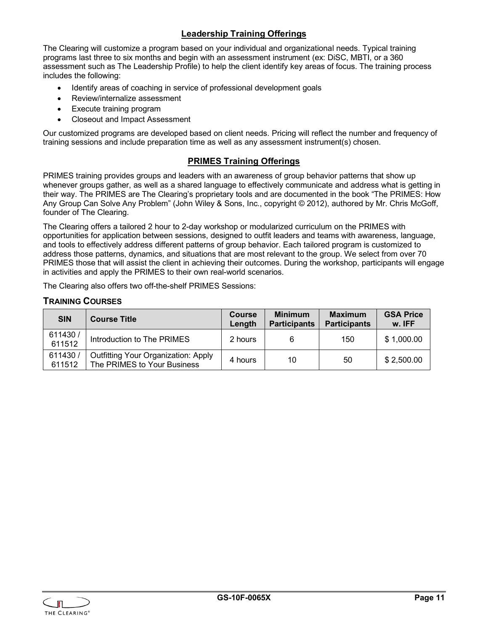### **Leadership Training Offerings**

The Clearing will customize a program based on your individual and organizational needs. Typical training programs last three to six months and begin with an assessment instrument (ex: DiSC, MBTI, or a 360 assessment such as The Leadership Profile) to help the client identify key areas of focus. The training process includes the following:

- Identify areas of coaching in service of professional development goals
- Review/internalize assessment
- **Execute training program**
- Closeout and Impact Assessment

Our customized programs are developed based on client needs. Pricing will reflect the number and frequency of training sessions and include preparation time as well as any assessment instrument(s) chosen.

#### **PRIMES Training Offerings**

PRIMES training provides groups and leaders with an awareness of group behavior patterns that show up whenever groups gather, as well as a shared language to effectively communicate and address what is getting in their way. The PRIMES are The Clearing's proprietary tools and are documented in the book "The PRIMES: How Any Group Can Solve Any Problem" (John Wiley & Sons, Inc., copyright © 2012), authored by Mr. Chris McGoff, founder of The Clearing.

The Clearing offers a tailored 2 hour to 2-day workshop or modularized curriculum on the PRIMES with opportunities for application between sessions, designed to outfit leaders and teams with awareness, language, and tools to effectively address different patterns of group behavior. Each tailored program is customized to address those patterns, dynamics, and situations that are most relevant to the group. We select from over 70 PRIMES those that will assist the client in achieving their outcomes. During the workshop, participants will engage in activities and apply the PRIMES to their own real-world scenarios.

The Clearing also offers two off-the-shelf PRIMES Sessions:

#### <span id="page-12-0"></span>**TRAINING COURSES**

| <b>SIN</b>        | <b>Course Title</b>                                                       | <b>Course</b><br>Length | <b>Minimum</b><br><b>Participants</b> | <b>Maximum</b><br><b>Participants</b> | <b>GSA Price</b><br>w. IFF |
|-------------------|---------------------------------------------------------------------------|-------------------------|---------------------------------------|---------------------------------------|----------------------------|
| 611430/<br>611512 | Introduction to The PRIMES                                                | 2 hours                 | 6                                     | 150                                   | \$1,000.00                 |
| 611430/<br>611512 | <b>Outfitting Your Organization: Apply</b><br>The PRIMES to Your Business | 4 hours                 | 10                                    | 50                                    | \$2,500.00                 |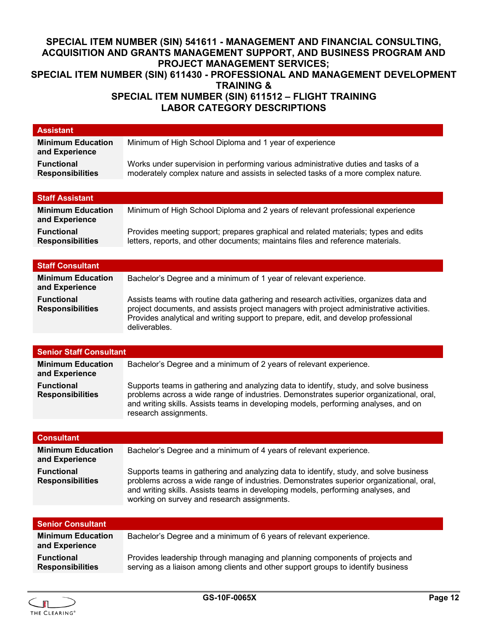# <span id="page-13-0"></span>**SPECIAL ITEM NUMBER (SIN) 541611 - MANAGEMENT AND FINANCIAL CONSULTING, ACQUISITION AND GRANTS MANAGEMENT SUPPORT, AND BUSINESS PROGRAM AND PROJECT MANAGEMENT SERVICES; SPECIAL ITEM NUMBER (SIN) 611430 - PROFESSIONAL AND MANAGEMENT DEVELOPMENT TRAINING & SPECIAL ITEM NUMBER (SIN) 611512 – FLIGHT TRAINING LABOR CATEGORY DESCRIPTIONS**

| <b>Assistant</b>                             |                                                                                                                                                                  |
|----------------------------------------------|------------------------------------------------------------------------------------------------------------------------------------------------------------------|
| <b>Minimum Education</b>                     | Minimum of High School Diploma and 1 year of experience                                                                                                          |
| and Experience                               |                                                                                                                                                                  |
| <b>Functional</b>                            | Works under supervision in performing various administrative duties and tasks of a                                                                               |
| <b>Responsibilities</b>                      | moderately complex nature and assists in selected tasks of a more complex nature.                                                                                |
|                                              |                                                                                                                                                                  |
| <b>Staff Assistant</b>                       |                                                                                                                                                                  |
| <b>Minimum Education</b>                     | Minimum of High School Diploma and 2 years of relevant professional experience                                                                                   |
| and Experience                               |                                                                                                                                                                  |
| <b>Functional</b>                            | Provides meeting support; prepares graphical and related materials; types and edits                                                                              |
| <b>Responsibilities</b>                      | letters, reports, and other documents; maintains files and reference materials.                                                                                  |
|                                              |                                                                                                                                                                  |
| <b>Staff Consultant</b>                      |                                                                                                                                                                  |
| <b>Minimum Education</b>                     | Bachelor's Degree and a minimum of 1 year of relevant experience.                                                                                                |
| and Experience                               |                                                                                                                                                                  |
| <b>Functional</b>                            | Assists teams with routine data gathering and research activities, organizes data and                                                                            |
| <b>Responsibilities</b>                      | project documents, and assists project managers with project administrative activities.                                                                          |
|                                              | Provides analytical and writing support to prepare, edit, and develop professional                                                                               |
|                                              | deliverables.                                                                                                                                                    |
|                                              |                                                                                                                                                                  |
| <b>Senior Staff Consultant</b>               |                                                                                                                                                                  |
|                                              |                                                                                                                                                                  |
| <b>Minimum Education</b>                     | Bachelor's Degree and a minimum of 2 years of relevant experience.                                                                                               |
| and Experience                               |                                                                                                                                                                  |
| <b>Functional</b>                            | Supports teams in gathering and analyzing data to identify, study, and solve business                                                                            |
| <b>Responsibilities</b>                      | problems across a wide range of industries. Demonstrates superior organizational, oral,                                                                          |
|                                              | and writing skills. Assists teams in developing models, performing analyses, and on                                                                              |
|                                              | research assignments.                                                                                                                                            |
|                                              |                                                                                                                                                                  |
| <b>Consultant</b>                            |                                                                                                                                                                  |
| <b>Minimum Education</b>                     | Bachelor's Degree and a minimum of 4 years of relevant experience.                                                                                               |
| and Experience                               |                                                                                                                                                                  |
| <b>Functional</b>                            | Supports teams in gathering and analyzing data to identify, study, and solve business                                                                            |
| <b>Responsibilities</b>                      | problems across a wide range of industries. Demonstrates superior organizational, oral,                                                                          |
|                                              | and writing skills. Assists teams in developing models, performing analyses, and                                                                                 |
|                                              | working on survey and research assignments.                                                                                                                      |
|                                              |                                                                                                                                                                  |
| <b>Senior Consultant</b>                     |                                                                                                                                                                  |
| <b>Minimum Education</b>                     | Bachelor's Degree and a minimum of 6 years of relevant experience.                                                                                               |
| and Experience                               |                                                                                                                                                                  |
| <b>Functional</b><br><b>Responsibilities</b> | Provides leadership through managing and planning components of projects and<br>serving as a liaison among clients and other support groups to identify business |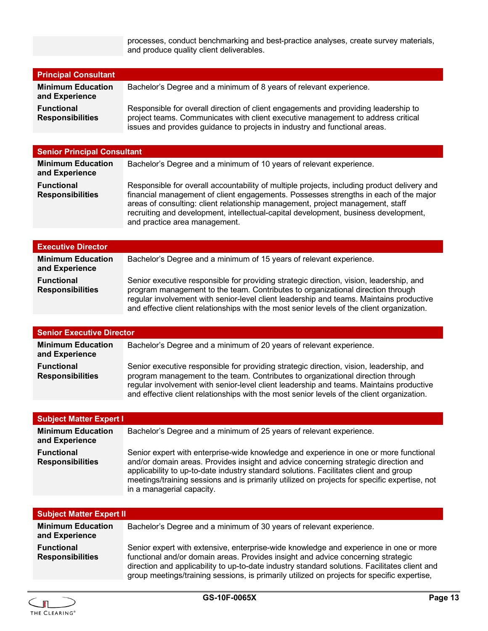processes, conduct benchmarking and best-practice analyses, create survey materials, and produce quality client deliverables.

| <b>Principal Consultant</b>                  |                                                                                                                                                                                                                                                       |
|----------------------------------------------|-------------------------------------------------------------------------------------------------------------------------------------------------------------------------------------------------------------------------------------------------------|
| <b>Minimum Education</b><br>and Experience   | Bachelor's Degree and a minimum of 8 years of relevant experience.                                                                                                                                                                                    |
| <b>Functional</b><br><b>Responsibilities</b> | Responsible for overall direction of client engagements and providing leadership to<br>project teams. Communicates with client executive management to address critical<br>issues and provides guidance to projects in industry and functional areas. |

## **Senior Principal Consultant**

| <b>Minimum Education</b><br>and Experience | Bachelor's Degree and a minimum of 10 years of relevant experience.                                                                                                                                                                                                                                                                                                                           |
|--------------------------------------------|-----------------------------------------------------------------------------------------------------------------------------------------------------------------------------------------------------------------------------------------------------------------------------------------------------------------------------------------------------------------------------------------------|
| Functional<br><b>Responsibilities</b>      | Responsible for overall accountability of multiple projects, including product delivery and<br>financial management of client engagements. Possesses strengths in each of the major<br>areas of consulting: client relationship management, project management, staff<br>recruiting and development, intellectual-capital development, business development,<br>and practice area management. |

| <b>Executive Director</b>                    |                                                                                                                                                                                                                                                                                                                                                                     |
|----------------------------------------------|---------------------------------------------------------------------------------------------------------------------------------------------------------------------------------------------------------------------------------------------------------------------------------------------------------------------------------------------------------------------|
| <b>Minimum Education</b><br>and Experience   | Bachelor's Degree and a minimum of 15 years of relevant experience.                                                                                                                                                                                                                                                                                                 |
| <b>Functional</b><br><b>Responsibilities</b> | Senior executive responsible for providing strategic direction, vision, leadership, and<br>program management to the team. Contributes to organizational direction through<br>regular involvement with senior-level client leadership and teams. Maintains productive<br>and effective client relationships with the most senior levels of the client organization. |

| <b>Senior Executive Director</b>             |                                                                                                                                                                                                                                                                                                                                                                     |  |
|----------------------------------------------|---------------------------------------------------------------------------------------------------------------------------------------------------------------------------------------------------------------------------------------------------------------------------------------------------------------------------------------------------------------------|--|
| <b>Minimum Education</b><br>and Experience   | Bachelor's Degree and a minimum of 20 years of relevant experience.                                                                                                                                                                                                                                                                                                 |  |
| <b>Functional</b><br><b>Responsibilities</b> | Senior executive responsible for providing strategic direction, vision, leadership, and<br>program management to the team. Contributes to organizational direction through<br>regular involvement with senior-level client leadership and teams. Maintains productive<br>and effective client relationships with the most senior levels of the client organization. |  |

| <b>Subject Matter Expert I</b>               |                                                                                                                                                                                                                                                                                                                                                                                                    |
|----------------------------------------------|----------------------------------------------------------------------------------------------------------------------------------------------------------------------------------------------------------------------------------------------------------------------------------------------------------------------------------------------------------------------------------------------------|
| <b>Minimum Education</b><br>and Experience   | Bachelor's Degree and a minimum of 25 years of relevant experience.                                                                                                                                                                                                                                                                                                                                |
| <b>Functional</b><br><b>Responsibilities</b> | Senior expert with enterprise-wide knowledge and experience in one or more functional<br>and/or domain areas. Provides insight and advice concerning strategic direction and<br>applicability to up-to-date industry standard solutions. Facilitates client and group<br>meetings/training sessions and is primarily utilized on projects for specific expertise, not<br>in a managerial capacity. |

| <b>Subject Matter Expert II</b>              |                                                                                                                                                                                                                                                                                                                                                                           |
|----------------------------------------------|---------------------------------------------------------------------------------------------------------------------------------------------------------------------------------------------------------------------------------------------------------------------------------------------------------------------------------------------------------------------------|
| <b>Minimum Education</b><br>and Experience   | Bachelor's Degree and a minimum of 30 years of relevant experience.                                                                                                                                                                                                                                                                                                       |
| <b>Functional</b><br><b>Responsibilities</b> | Senior expert with extensive, enterprise-wide knowledge and experience in one or more<br>functional and/or domain areas. Provides insight and advice concerning strategic<br>direction and applicability to up-to-date industry standard solutions. Facilitates client and<br>group meetings/training sessions, is primarily utilized on projects for specific expertise, |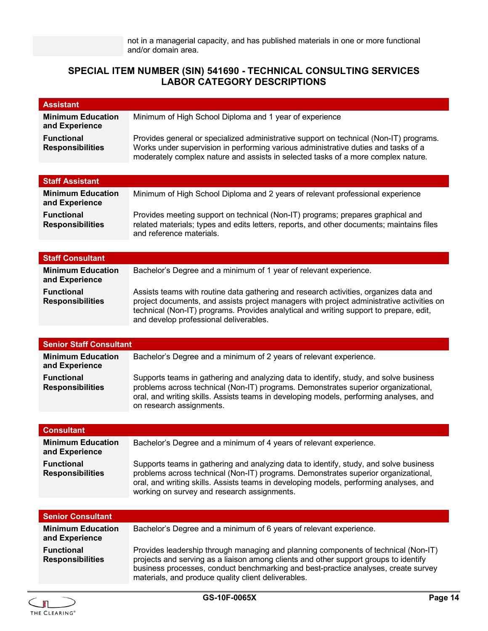## **SPECIAL ITEM NUMBER (SIN) 541690 - TECHNICAL CONSULTING SERVICES LABOR CATEGORY DESCRIPTIONS**

| <b>Assistant</b>                             |                                                                                                                                                                                                                                                                                                                         |
|----------------------------------------------|-------------------------------------------------------------------------------------------------------------------------------------------------------------------------------------------------------------------------------------------------------------------------------------------------------------------------|
| <b>Minimum Education</b><br>and Experience   | Minimum of High School Diploma and 1 year of experience                                                                                                                                                                                                                                                                 |
| <b>Functional</b><br><b>Responsibilities</b> | Provides general or specialized administrative support on technical (Non-IT) programs.<br>Works under supervision in performing various administrative duties and tasks of a<br>moderately complex nature and assists in selected tasks of a more complex nature.                                                       |
|                                              |                                                                                                                                                                                                                                                                                                                         |
| <b>Staff Assistant</b>                       |                                                                                                                                                                                                                                                                                                                         |
| <b>Minimum Education</b><br>and Experience   | Minimum of High School Diploma and 2 years of relevant professional experience                                                                                                                                                                                                                                          |
| <b>Functional</b><br><b>Responsibilities</b> | Provides meeting support on technical (Non-IT) programs; prepares graphical and<br>related materials; types and edits letters, reports, and other documents; maintains files<br>and reference materials.                                                                                                                |
|                                              |                                                                                                                                                                                                                                                                                                                         |
| <b>Staff Consultant</b>                      |                                                                                                                                                                                                                                                                                                                         |
| <b>Minimum Education</b><br>and Experience   | Bachelor's Degree and a minimum of 1 year of relevant experience.                                                                                                                                                                                                                                                       |
| <b>Functional</b><br><b>Responsibilities</b> | Assists teams with routine data gathering and research activities, organizes data and<br>project documents, and assists project managers with project administrative activities on<br>technical (Non-IT) programs. Provides analytical and writing support to prepare, edit,<br>and develop professional deliverables.  |
|                                              |                                                                                                                                                                                                                                                                                                                         |
| <b>Senior Staff Consultant</b>               |                                                                                                                                                                                                                                                                                                                         |
| <b>Minimum Education</b><br>and Experience   | Bachelor's Degree and a minimum of 2 years of relevant experience.                                                                                                                                                                                                                                                      |
| <b>Functional</b><br><b>Responsibilities</b> | Supports teams in gathering and analyzing data to identify, study, and solve business<br>problems across technical (Non-IT) programs. Demonstrates superior organizational,<br>oral, and writing skills. Assists teams in developing models, performing analyses, and<br>on research assignments.                       |
|                                              |                                                                                                                                                                                                                                                                                                                         |
| <b>Consultant</b>                            |                                                                                                                                                                                                                                                                                                                         |
| <b>Minimum Education</b><br>and Experience   | Bachelor's Degree and a minimum of 4 years of relevant experience.                                                                                                                                                                                                                                                      |
| <b>Functional</b><br><b>Responsibilities</b> | Supports teams in gathering and analyzing data to identify, study, and solve business<br>problems across technical (Non-IT) programs. Demonstrates superior organizational,<br>oral, and writing skills. Assists teams in developing models, performing analyses, and<br>working on survey and research assignments.    |
|                                              |                                                                                                                                                                                                                                                                                                                         |
| <b>Senior Consultant</b>                     |                                                                                                                                                                                                                                                                                                                         |
| <b>Minimum Education</b><br>and Experience   | Bachelor's Degree and a minimum of 6 years of relevant experience.                                                                                                                                                                                                                                                      |
| <b>Functional</b><br><b>Responsibilities</b> | Provides leadership through managing and planning components of technical (Non-IT)<br>projects and serving as a liaison among clients and other support groups to identify<br>business processes, conduct benchmarking and best-practice analyses, create survey<br>materials, and produce quality client deliverables. |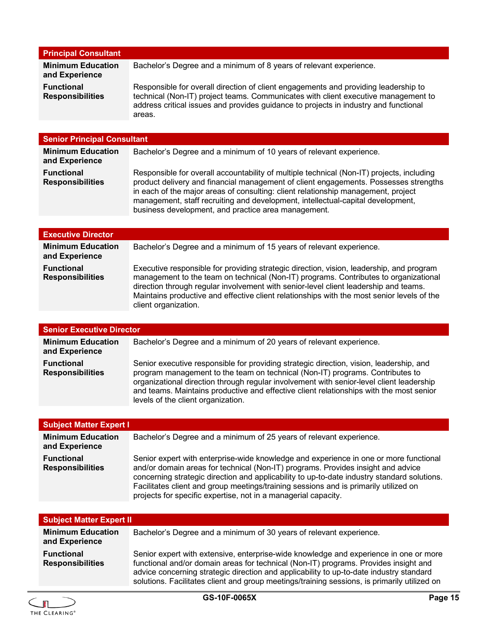| <b>Principal Consultant</b>                  |                                                                                                                                                                                                                                                                             |
|----------------------------------------------|-----------------------------------------------------------------------------------------------------------------------------------------------------------------------------------------------------------------------------------------------------------------------------|
| <b>Minimum Education</b><br>and Experience   | Bachelor's Degree and a minimum of 8 years of relevant experience.                                                                                                                                                                                                          |
| <b>Functional</b><br><b>Responsibilities</b> | Responsible for overall direction of client engagements and providing leadership to<br>technical (Non-IT) project teams. Communicates with client executive management to<br>address critical issues and provides guidance to projects in industry and functional<br>areas. |

| <b>Senior Principal Consultant</b>           |                                                                                                                                                                                                                                                                                                                                                                                                                  |
|----------------------------------------------|------------------------------------------------------------------------------------------------------------------------------------------------------------------------------------------------------------------------------------------------------------------------------------------------------------------------------------------------------------------------------------------------------------------|
| <b>Minimum Education</b><br>and Experience   | Bachelor's Degree and a minimum of 10 years of relevant experience.                                                                                                                                                                                                                                                                                                                                              |
| <b>Functional</b><br><b>Responsibilities</b> | Responsible for overall accountability of multiple technical (Non-IT) projects, including<br>product delivery and financial management of client engagements. Possesses strengths<br>in each of the major areas of consulting: client relationship management, project<br>management, staff recruiting and development, intellectual-capital development,<br>business development, and practice area management. |

| <b>Executive Director</b>                    |                                                                                                                                                                                                                                                                                                                                                                                                |
|----------------------------------------------|------------------------------------------------------------------------------------------------------------------------------------------------------------------------------------------------------------------------------------------------------------------------------------------------------------------------------------------------------------------------------------------------|
| <b>Minimum Education</b><br>and Experience   | Bachelor's Degree and a minimum of 15 years of relevant experience.                                                                                                                                                                                                                                                                                                                            |
| <b>Functional</b><br><b>Responsibilities</b> | Executive responsible for providing strategic direction, vision, leadership, and program<br>management to the team on technical (Non-IT) programs. Contributes to organizational<br>direction through regular involvement with senior-level client leadership and teams.<br>Maintains productive and effective client relationships with the most senior levels of the<br>client organization. |

| <b>Senior Executive Director</b>             |                                                                                                                                                                                                                                                                                                                                                                                                       |
|----------------------------------------------|-------------------------------------------------------------------------------------------------------------------------------------------------------------------------------------------------------------------------------------------------------------------------------------------------------------------------------------------------------------------------------------------------------|
| <b>Minimum Education</b><br>and Experience   | Bachelor's Degree and a minimum of 20 years of relevant experience.                                                                                                                                                                                                                                                                                                                                   |
| <b>Functional</b><br><b>Responsibilities</b> | Senior executive responsible for providing strategic direction, vision, leadership, and<br>program management to the team on technical (Non-IT) programs. Contributes to<br>organizational direction through regular involvement with senior-level client leadership<br>and teams. Maintains productive and effective client relationships with the most senior<br>levels of the client organization. |

| <b>Subject Matter Expert I</b>               |                                                                                                                                                                                                                                                                                                                                                                                                                                    |
|----------------------------------------------|------------------------------------------------------------------------------------------------------------------------------------------------------------------------------------------------------------------------------------------------------------------------------------------------------------------------------------------------------------------------------------------------------------------------------------|
| <b>Minimum Education</b><br>and Experience   | Bachelor's Degree and a minimum of 25 years of relevant experience.                                                                                                                                                                                                                                                                                                                                                                |
| <b>Functional</b><br><b>Responsibilities</b> | Senior expert with enterprise-wide knowledge and experience in one or more functional<br>and/or domain areas for technical (Non-IT) programs. Provides insight and advice<br>concerning strategic direction and applicability to up-to-date industry standard solutions.<br>Facilitates client and group meetings/training sessions and is primarily utilized on<br>projects for specific expertise, not in a managerial capacity. |

| <b>Subject Matter Expert II</b>              |                                                                                                                                                                                                                                                                                                                                                                          |
|----------------------------------------------|--------------------------------------------------------------------------------------------------------------------------------------------------------------------------------------------------------------------------------------------------------------------------------------------------------------------------------------------------------------------------|
| <b>Minimum Education</b><br>and Experience   | Bachelor's Degree and a minimum of 30 years of relevant experience.                                                                                                                                                                                                                                                                                                      |
| <b>Functional</b><br><b>Responsibilities</b> | Senior expert with extensive, enterprise-wide knowledge and experience in one or more<br>functional and/or domain areas for technical (Non-IT) programs. Provides insight and<br>advice concerning strategic direction and applicability to up-to-date industry standard<br>solutions. Facilitates client and group meetings/training sessions, is primarily utilized on |